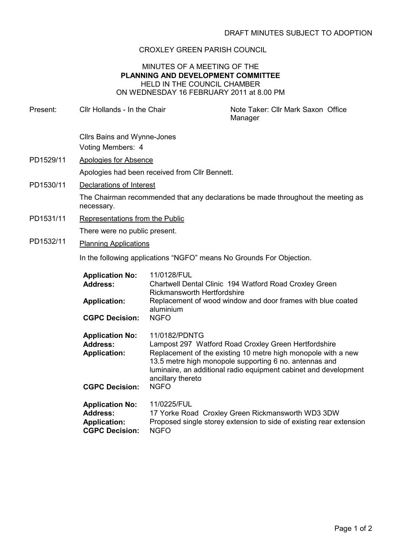## CROXLEY GREEN PARISH COUNCIL

## MINUTES OF A MEETING OF THE PLANNING AND DEVELOPMENT COMMITTEE HELD IN THE COUNCIL CHAMBER ON WEDNESDAY 16 FEBRUARY 2011 at 8.00 PM

Present: Cllr Hollands - In the Chair Note Taker: Cllr Mark Saxon Office Manager Cllrs Bains and Wynne-Jones Voting Members: 4 PD1529/11 Apologies for Absence Apologies had been received from Cllr Bennett. PD1530/11 Declarations of Interest The Chairman recommended that any declarations be made throughout the meeting as necessary. PD1531/11 Representations from the Public There were no public present. PD1532/11 Planning Applications In the following applications "NGFO" means No Grounds For Objection. Application No: 11/0128/FUL Address: Chartwell Dental Clinic 194 Watford Road Croxley Green Rickmansworth Hertfordshire Application: Replacement of wood window and door frames with blue coated aluminium CGPC Decision: NGFO Application No: 11/0182/PDNTG Address: Lampost 297 Watford Road Croxley Green Hertfordshire Application: Replacement of the existing 10 metre high monopole with a new 13.5 metre high monopole supporting 6 no. antennas and luminaire, an additional radio equipment cabinet and development ancillary thereto CGPC Decision: NGFO Application No: 11/0225/FUL

Address: 17 Yorke Road Croxley Green Rickmansworth WD3 3DW

CGPC Decision: NGFO

Application: Proposed single storey extension to side of existing rear extension